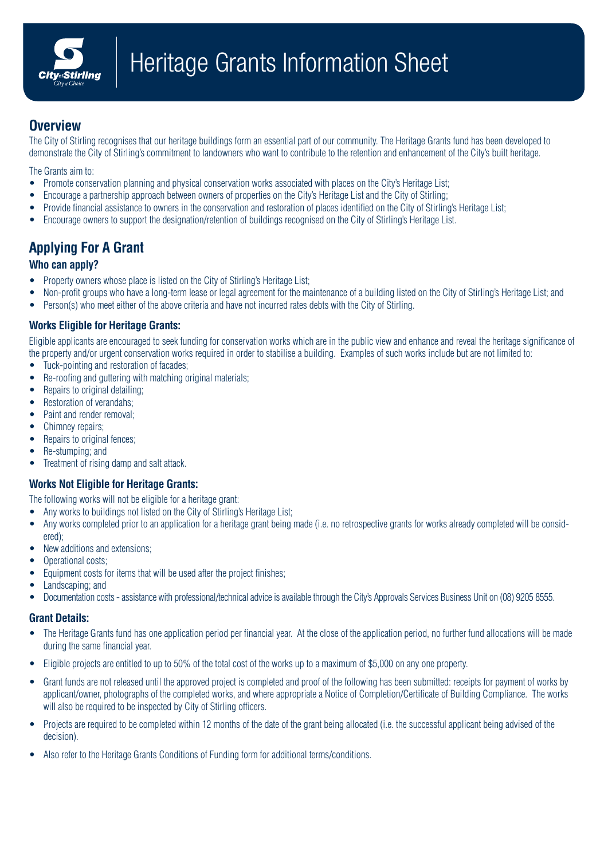

## **Overview**

The City of Stirling recognises that our heritage buildings form an essential part of our community. The Heritage Grants fund has been developed to demonstrate the City of Stirling's commitment to landowners who want to contribute to the retention and enhancement of the City's built heritage.

The Grants aim to:

- Promote conservation planning and physical conservation works associated with places on the City's Heritage List:
- Encourage a partnership approach between owners of properties on the City's Heritage List and the City of Stirling;
- Provide financial assistance to owners in the conservation and restoration of places identified on the City of Stirling's Heritage List;
- Encourage owners to support the designation/retention of buildings recognised on the City of Stirling's Heritage List.

# **Applying For A Grant**

### **Who can apply?**

- Property owners whose place is listed on the City of Stirling's Heritage List;
- Non-profit groups who have a long-term lease or legal agreement for the maintenance of a building listed on the City of Stirling's Heritage List; and
- Person(s) who meet either of the above criteria and have not incurred rates debts with the City of Stirling.

### **Works Eligible for Heritage Grants:**

Eligible applicants are encouraged to seek funding for conservation works which are in the public view and enhance and reveal the heritage significance of the property and/or urgent conservation works required in order to stabilise a building. Examples of such works include but are not limited to:

- Tuck-pointing and restoration of facades;
- Re-roofing and guttering with matching original materials:
- Repairs to original detailing;
- Restoration of verandahs;
- Paint and render removal:
- Chimney repairs;
- Repairs to original fences;
- Re-stumping; and
- Treatment of rising damp and salt attack.

#### **Works Not Eligible for Heritage Grants:**

The following works will not be eligible for a heritage grant:

- Any works to buildings not listed on the City of Stirling's Heritage List;
- Any works completed prior to an application for a heritage grant being made (i.e. no retrospective grants for works already completed will be considered);
- New additions and extensions;
- Operational costs;
- Equipment costs for items that will be used after the project finishes;
- Landscaping; and
- Documentation costs assistance with professional/technical advice is available through the City's Approvals Services Business Unit on (08) 9205 8555.

#### **Grant Details:**

- The Heritage Grants fund has one application period per financial year. At the close of the application period, no further fund allocations will be made during the same financial year.
- Eligible projects are entitled to up to 50% of the total cost of the works up to a maximum of \$5,000 on any one property.
- Grant funds are not released until the approved project is completed and proof of the following has been submitted: receipts for payment of works by applicant/owner, photographs of the completed works, and where appropriate a Notice of Completion/Certificate of Building Compliance. The works will also be required to be inspected by City of Stirling officers.
- Projects are required to be completed within 12 months of the date of the grant being allocated (i.e. the successful applicant being advised of the decision).
- Also refer to the Heritage Grants Conditions of Funding form for additional terms/conditions.